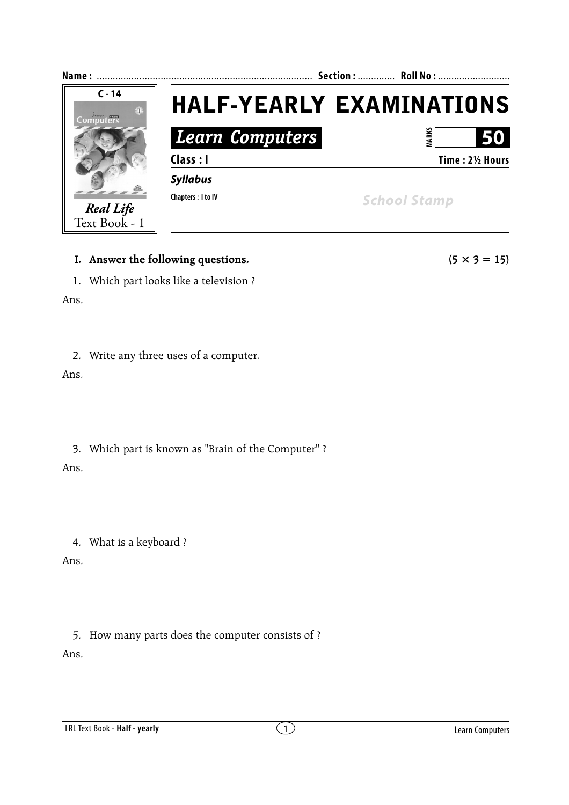

## **I.** Answer the following questions.  $(5 \times 3 = 15)$

1. Which part looks like a television ?

Ans.

2. Write any three uses of a computer.

Ans.

3. Which part is known as "Brain of the Computer" ? Ans.

4. What is a keyboard ?

Ans.

5. How many parts does the computer consists of ?

Ans.